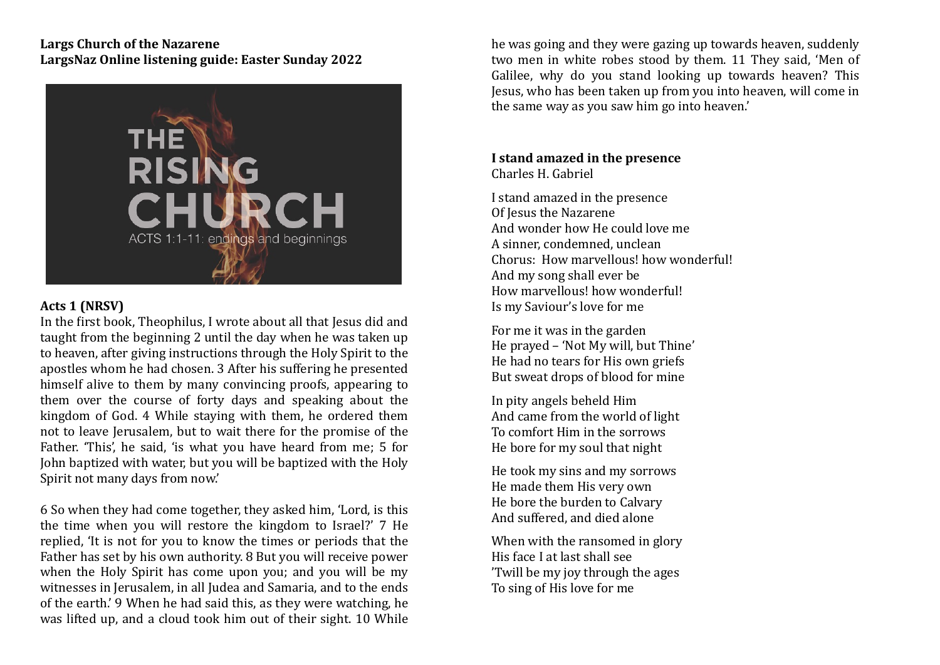## **Largs Church of the Nazarene** LargsNaz Online listening guide: Easter Sunday 2022



## **Acts 1 (NRSV)**

In the first book, Theophilus, I wrote about all that Jesus did and taught from the beginning 2 until the day when he was taken up to heaven, after giving instructions through the Holy Spirit to the apostles whom he had chosen. 3 After his suffering he presented himself alive to them by many convincing proofs, appearing to them over the course of forty days and speaking about the kingdom of God. 4 While staying with them, he ordered them not to leave Jerusalem, but to wait there for the promise of the Father. 'This', he said, 'is what you have heard from me; 5 for John baptized with water, but you will be baptized with the Holy Spirit not many days from now.'

6 So when they had come together, they asked him, 'Lord, is this the time when you will restore the kingdom to Israel?' 7 He replied, 'It is not for you to know the times or periods that the Father has set by his own authority. 8 But you will receive power when the Holy Spirit has come upon you; and you will be my witnesses in Jerusalem, in all Judea and Samaria, and to the ends of the earth.' 9 When he had said this, as they were watching, he was lifted up, and a cloud took him out of their sight. 10 While

he was going and they were gazing up towards heaven, suddenly two men in white robes stood by them. 11 They said, 'Men of Galilee, why do you stand looking up towards heaven? This Jesus, who has been taken up from you into heaven, will come in the same way as you saw him go into heaven.'

## **I** stand amazed in the presence Charles H. Gabriel

I stand amazed in the presence Of Iesus the Nazarene And wonder how He could love me A sinner, condemned, unclean Chorus: How marvellous! how wonderful! And my song shall ever be How marvellous! how wonderful! Is my Saviour's love for me

For me it was in the garden He prayed - 'Not My will, but Thine' He had no tears for His own griefs But sweat drops of blood for mine

In pity angels beheld Him And came from the world of light To comfort Him in the sorrows He bore for my soul that night

He took my sins and my sorrows He made them His very own He bore the burden to Calvary And suffered, and died alone

When with the ransomed in glory His face I at last shall see 'Twill be my joy through the ages To sing of His love for me